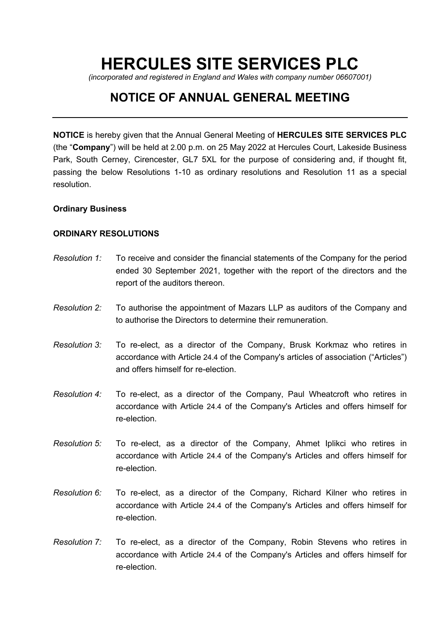# **HERCULES SITE SERVICES PLC**

*(incorporated and registered in England and Wales with company number 06607001)*

# **NOTICE OF ANNUAL GENERAL MEETING**

**NOTICE** is hereby given that the Annual General Meeting of **HERCULES SITE SERVICES PLC** (the "**Company**") will be held at 2.00 p.m. on 25 May 2022 at Hercules Court, Lakeside Business Park, South Cerney, Cirencester, GL7 5XL for the purpose of considering and, if thought fit, passing the below Resolutions 1-10 as ordinary resolutions and Resolution 11 as a special resolution.

# **Ordinary Business**

# **ORDINARY RESOLUTIONS**

- *Resolution 1:* To receive and consider the financial statements of the Company for the period ended 30 September 2021, together with the report of the directors and the report of the auditors thereon.
- *Resolution 2:* To authorise the appointment of Mazars LLP as auditors of the Company and to authorise the Directors to determine their remuneration.
- *Resolution 3:* To re-elect, as a director of the Company, Brusk Korkmaz who retires in accordance with Article 24.4 of the Company's articles of association ("Articles") and offers himself for re-election.
- *Resolution 4:* To re-elect, as a director of the Company, Paul Wheatcroft who retires in accordance with Article 24.4 of the Company's Articles and offers himself for re-election.
- *Resolution 5:* To re-elect, as a director of the Company, Ahmet Iplikci who retires in accordance with Article 24.4 of the Company's Articles and offers himself for re-election.
- *Resolution 6:* To re-elect, as a director of the Company, Richard Kilner who retires in accordance with Article 24.4 of the Company's Articles and offers himself for re-election.
- *Resolution 7:* To re-elect, as a director of the Company, Robin Stevens who retires in accordance with Article 24.4 of the Company's Articles and offers himself for re-election.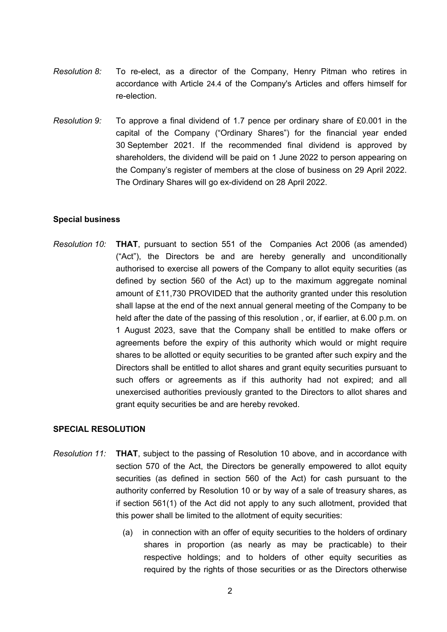- *Resolution 8:* To re-elect, as a director of the Company, Henry Pitman who retires in accordance with Article 24.4 of the Company's Articles and offers himself for re-election.
- *Resolution 9:* To approve a final dividend of 1.7 pence per ordinary share of £0.001 in the capital of the Company ("Ordinary Shares") for the financial year ended 30 September 2021. If the recommended final dividend is approved by shareholders, the dividend will be paid on 1 June 2022 to person appearing on the Company's register of members at the close of business on 29 April 2022. The Ordinary Shares will go ex-dividend on 28 April 2022.

# **Special business**

*Resolution 10:* **THAT**, pursuant to section 551 of the Companies Act 2006 (as amended) ("Act"), the Directors be and are hereby generally and unconditionally authorised to exercise all powers of the Company to allot equity securities (as defined by section 560 of the Act) up to the maximum aggregate nominal amount of £11,730 PROVIDED that the authority granted under this resolution shall lapse at the end of the next annual general meeting of the Company to be held after the date of the passing of this resolution, or, if earlier, at 6.00 p.m. on 1 August 2023, save that the Company shall be entitled to make offers or agreements before the expiry of this authority which would or might require shares to be allotted or equity securities to be granted after such expiry and the Directors shall be entitled to allot shares and grant equity securities pursuant to such offers or agreements as if this authority had not expired; and all unexercised authorities previously granted to the Directors to allot shares and grant equity securities be and are hereby revoked.

## **SPECIAL RESOLUTION**

- *Resolution 11:* **THAT**, subject to the passing of Resolution 10 above, and in accordance with section 570 of the Act, the Directors be generally empowered to allot equity securities (as defined in section 560 of the Act) for cash pursuant to the authority conferred by Resolution 10 or by way of a sale of treasury shares, as if section 561(1) of the Act did not apply to any such allotment, provided that this power shall be limited to the allotment of equity securities:
	- (a) in connection with an offer of equity securities to the holders of ordinary shares in proportion (as nearly as may be practicable) to their respective holdings; and to holders of other equity securities as required by the rights of those securities or as the Directors otherwise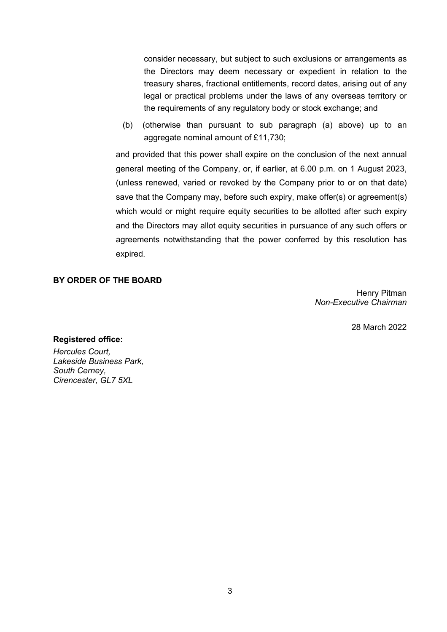consider necessary, but subject to such exclusions or arrangements as the Directors may deem necessary or expedient in relation to the treasury shares, fractional entitlements, record dates, arising out of any legal or practical problems under the laws of any overseas territory or the requirements of any regulatory body or stock exchange; and

(b) (otherwise than pursuant to sub paragraph (a) above) up to an aggregate nominal amount of £11,730;

and provided that this power shall expire on the conclusion of the next annual general meeting of the Company, or, if earlier, at 6.00 p.m. on 1 August 2023, (unless renewed, varied or revoked by the Company prior to or on that date) save that the Company may, before such expiry, make offer(s) or agreement(s) which would or might require equity securities to be allotted after such expiry and the Directors may allot equity securities in pursuance of any such offers or agreements notwithstanding that the power conferred by this resolution has expired.

# **BY ORDER OF THE BOARD**

Henry Pitman *Non-Executive Chairman*

28 March 2022

## **Registered office:**

*Hercules Court, Lakeside Business Park, South Cerney, Cirencester, GL7 5XL*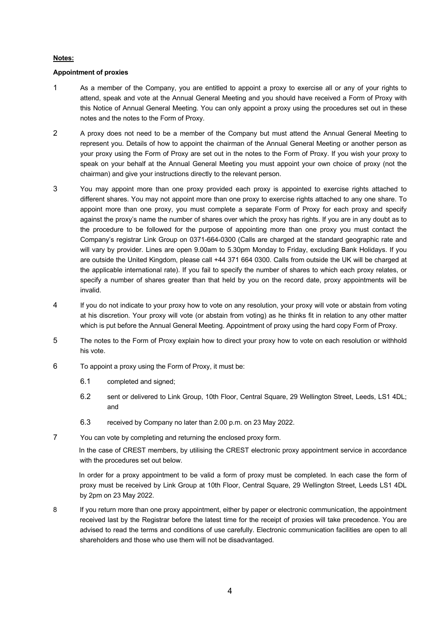#### **Notes:**

#### **Appointment of proxies**

- 1 As a member of the Company, you are entitled to appoint a proxy to exercise all or any of your rights to attend, speak and vote at the Annual General Meeting and you should have received a Form of Proxy with this Notice of Annual General Meeting. You can only appoint a proxy using the procedures set out in these notes and the notes to the Form of Proxy.
- 2 A proxy does not need to be a member of the Company but must attend the Annual General Meeting to represent you. Details of how to appoint the chairman of the Annual General Meeting or another person as your proxy using the Form of Proxy are set out in the notes to the Form of Proxy. If you wish your proxy to speak on your behalf at the Annual General Meeting you must appoint your own choice of proxy (not the chairman) and give your instructions directly to the relevant person.
- 3 You may appoint more than one proxy provided each proxy is appointed to exercise rights attached to different shares. You may not appoint more than one proxy to exercise rights attached to any one share. To appoint more than one proxy, you must complete a separate Form of Proxy for each proxy and specify against the proxy's name the number of shares over which the proxy has rights. If you are in any doubt as to the procedure to be followed for the purpose of appointing more than one proxy you must contact the Company's registrar Link Group on 0371-664-0300 (Calls are charged at the standard geographic rate and will vary by provider. Lines are open 9.00am to 5.30pm Monday to Friday, excluding Bank Holidays. If you are outside the United Kingdom, please call +44 371 664 0300. Calls from outside the UK will be charged at the applicable international rate). If you fail to specify the number of shares to which each proxy relates, or specify a number of shares greater than that held by you on the record date, proxy appointments will be invalid.
- 4 If you do not indicate to your proxy how to vote on any resolution, your proxy will vote or abstain from voting at his discretion. Your proxy will vote (or abstain from voting) as he thinks fit in relation to any other matter which is put before the Annual General Meeting. Appointment of proxy using the hard copy Form of Proxy.
- 5 The notes to the Form of Proxy explain how to direct your proxy how to vote on each resolution or withhold his vote.
- 6 To appoint a proxy using the Form of Proxy, it must be:
	- 6.1 completed and signed;
	- 6.2 sent or delivered to Link Group, 10th Floor, Central Square, 29 Wellington Street, Leeds, LS1 4DL; and
	- 6.3 received by Company no later than 2.00 p.m. on 23 May 2022.
- 7 You can vote by completing and returning the enclosed proxy form.

In the case of CREST members, by utilising the CREST electronic proxy appointment service in accordance with the procedures set out below.

In order for a proxy appointment to be valid a form of proxy must be completed. In each case the form of proxy must be received by Link Group at 10th Floor, Central Square, 29 Wellington Street, Leeds LS1 4DL by 2pm on 23 May 2022.

8 If you return more than one proxy appointment, either by paper or electronic communication, the appointment received last by the Registrar before the latest time for the receipt of proxies will take precedence. You are advised to read the terms and conditions of use carefully. Electronic communication facilities are open to all shareholders and those who use them will not be disadvantaged.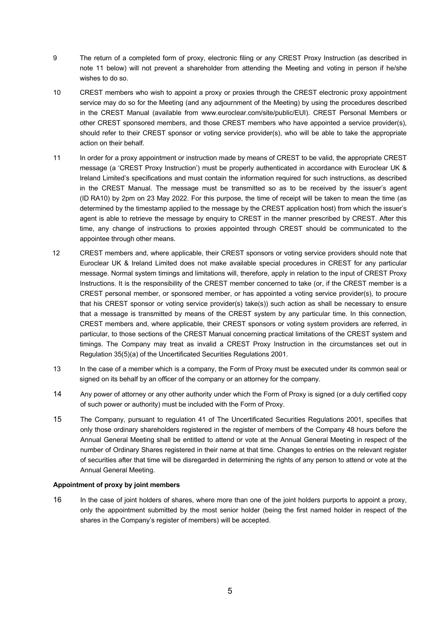- 9 The return of a completed form of proxy, electronic filing or any CREST Proxy Instruction (as described in note 11 below) will not prevent a shareholder from attending the Meeting and voting in person if he/she wishes to do so.
- 10 CREST members who wish to appoint a proxy or proxies through the CREST electronic proxy appointment service may do so for the Meeting (and any adjournment of the Meeting) by using the procedures described in the CREST Manual (available from www.euroclear.com/site/public/EUI). CREST Personal Members or other CREST sponsored members, and those CREST members who have appointed a service provider(s), should refer to their CREST sponsor or voting service provider(s), who will be able to take the appropriate action on their behalf.
- 11 In order for a proxy appointment or instruction made by means of CREST to be valid, the appropriate CREST message (a 'CREST Proxy Instruction') must be properly authenticated in accordance with Euroclear UK & Ireland Limited's specifications and must contain the information required for such instructions, as described in the CREST Manual. The message must be transmitted so as to be received by the issuer's agent (ID RA10) by 2pm on 23 May 2022. For this purpose, the time of receipt will be taken to mean the time (as determined by the timestamp applied to the message by the CREST application host) from which the issuer's agent is able to retrieve the message by enquiry to CREST in the manner prescribed by CREST. After this time, any change of instructions to proxies appointed through CREST should be communicated to the appointee through other means.
- 12 CREST members and, where applicable, their CREST sponsors or voting service providers should note that Euroclear UK & Ireland Limited does not make available special procedures in CREST for any particular message. Normal system timings and limitations will, therefore, apply in relation to the input of CREST Proxy Instructions. It is the responsibility of the CREST member concerned to take (or, if the CREST member is a CREST personal member, or sponsored member, or has appointed a voting service provider(s), to procure that his CREST sponsor or voting service provider(s) take(s)) such action as shall be necessary to ensure that a message is transmitted by means of the CREST system by any particular time. In this connection, CREST members and, where applicable, their CREST sponsors or voting system providers are referred, in particular, to those sections of the CREST Manual concerning practical limitations of the CREST system and timings. The Company may treat as invalid a CREST Proxy Instruction in the circumstances set out in Regulation 35(5)(a) of the Uncertificated Securities Regulations 2001.
- 13 In the case of a member which is a company, the Form of Proxy must be executed under its common seal or signed on its behalf by an officer of the company or an attorney for the company.
- 14 Any power of attorney or any other authority under which the Form of Proxy is signed (or a duly certified copy of such power or authority) must be included with the Form of Proxy.
- 15 The Company, pursuant to regulation 41 of The Uncertificated Securities Regulations 2001, specifies that only those ordinary shareholders registered in the register of members of the Company 48 hours before the Annual General Meeting shall be entitled to attend or vote at the Annual General Meeting in respect of the number of Ordinary Shares registered in their name at that time. Changes to entries on the relevant register of securities after that time will be disregarded in determining the rights of any person to attend or vote at the Annual General Meeting.

#### **Appointment of proxy by joint members**

16 In the case of joint holders of shares, where more than one of the joint holders purports to appoint a proxy, only the appointment submitted by the most senior holder (being the first named holder in respect of the shares in the Company's register of members) will be accepted.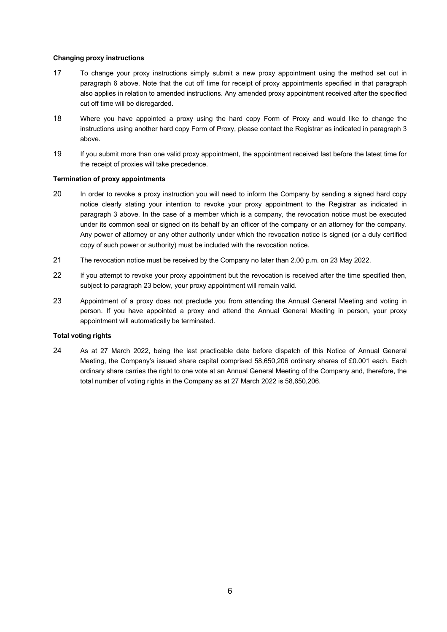#### **Changing proxy instructions**

- 17 To change your proxy instructions simply submit a new proxy appointment using the method set out in paragraph 6 above. Note that the cut off time for receipt of proxy appointments specified in that paragraph also applies in relation to amended instructions. Any amended proxy appointment received after the specified cut off time will be disregarded.
- 18 Where you have appointed a proxy using the hard copy Form of Proxy and would like to change the instructions using another hard copy Form of Proxy, please contact the Registrar as indicated in paragraph 3 above.
- 19 If you submit more than one valid proxy appointment, the appointment received last before the latest time for the receipt of proxies will take precedence.

#### **Termination of proxy appointments**

- 20 In order to revoke a proxy instruction you will need to inform the Company by sending a signed hard copy notice clearly stating your intention to revoke your proxy appointment to the Registrar as indicated in paragraph 3 above. In the case of a member which is a company, the revocation notice must be executed under its common seal or signed on its behalf by an officer of the company or an attorney for the company. Any power of attorney or any other authority under which the revocation notice is signed (or a duly certified copy of such power or authority) must be included with the revocation notice.
- 21 The revocation notice must be received by the Company no later than 2.00 p.m. on 23 May 2022.
- 22 If you attempt to revoke your proxy appointment but the revocation is received after the time specified then, subject to paragraph 23 below, your proxy appointment will remain valid.
- 23 Appointment of a proxy does not preclude you from attending the Annual General Meeting and voting in person. If you have appointed a proxy and attend the Annual General Meeting in person, your proxy appointment will automatically be terminated.

#### **Total voting rights**

24 As at 27 March 2022, being the last practicable date before dispatch of this Notice of Annual General Meeting, the Company's issued share capital comprised 58,650,206 ordinary shares of £0.001 each. Each ordinary share carries the right to one vote at an Annual General Meeting of the Company and, therefore, the total number of voting rights in the Company as at 27 March 2022 is 58,650,206.